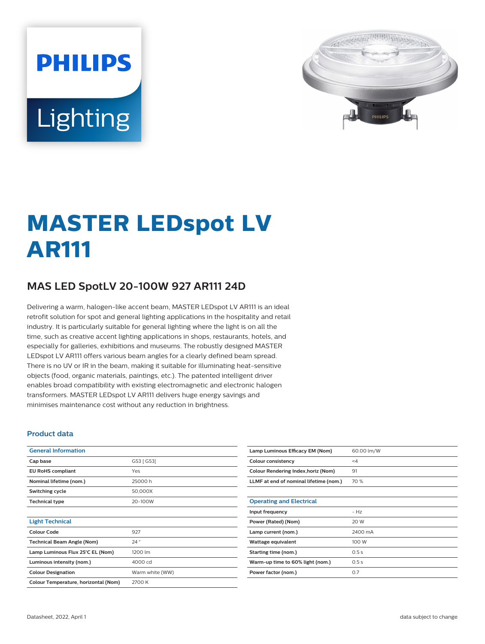# **PHILIPS** Lighting



## **MASTER LEDspot LV AR111**

### **MAS LED SpotLV 20-100W 927 AR111 24D**

Delivering a warm, halogen-like accent beam, MASTER LEDspot LV AR111 is an ideal retrofit solution for spot and general lighting applications in the hospitality and retail industry. It is particularly suitable for general lighting where the light is on all the time, such as creative accent lighting applications in shops, restaurants, hotels, and especially for galleries, exhibitions and museums. The robustly designed MASTER LEDspot LV AR111 offers various beam angles for a clearly defined beam spread. There is no UV or IR in the beam, making it suitable for illuminating heat-sensitive objects (food, organic materials, paintings, etc.). The patented intelligent driver enables broad compatibility with existing electromagnetic and electronic halogen transformers. MASTER LEDspot LV AR111 delivers huge energy savings and minimises maintenance cost without any reduction in brightness.

#### **Product data**

| <b>General Information</b>           |                 |  |  |  |
|--------------------------------------|-----------------|--|--|--|
| Cap base                             | G53 [ G53]      |  |  |  |
| <b>EU RoHS compliant</b>             | Yes             |  |  |  |
| Nominal lifetime (nom.)              | 25000 h         |  |  |  |
| Switching cycle                      | 50,000X         |  |  |  |
| <b>Technical type</b>                | 20-100W         |  |  |  |
|                                      |                 |  |  |  |
| <b>Light Technical</b>               |                 |  |  |  |
| Colour Code                          | 927             |  |  |  |
| <b>Technical Beam Angle (Nom)</b>    | 24°             |  |  |  |
| Lamp Luminous Flux 25°C EL (Nom)     | 1200 lm         |  |  |  |
| Luminous intensity (nom.)            | 4000 cd         |  |  |  |
| <b>Colour Designation</b>            | Warm white (WW) |  |  |  |
| Colour Temperature, horizontal (Nom) | 2700 K          |  |  |  |

| Lamp Luminous Efficacy EM (Nom)        | 60.00 lm/W |
|----------------------------------------|------------|
| Colour consistency                     | $\leq 4$   |
| Colour Rendering Index, horiz (Nom)    | 91         |
| LLMF at end of nominal lifetime (nom.) | 70 %       |
|                                        |            |
| <b>Operating and Electrical</b>        |            |
| Input frequency                        | $-HZ$      |
| Power (Rated) (Nom)                    | 20 W       |
| Lamp current (nom.)                    | 2400 mA    |
| Wattage equivalent                     | 100 W      |
| Starting time (nom.)                   | 0.5s       |
| Warm-up time to 60% light (nom.)       | 0.5s       |
| Power factor (nom.)                    | 0.7        |
|                                        |            |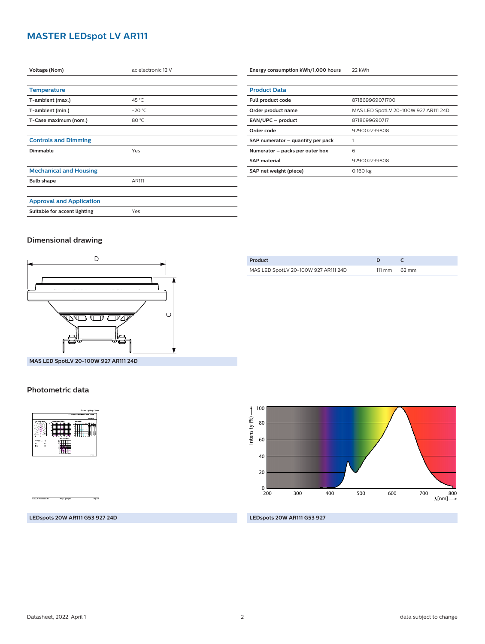#### **MASTER LEDspot LV AR111**

| <b>Voltage (Nom)</b>            | ac electronic 12 V |
|---------------------------------|--------------------|
|                                 |                    |
| <b>Temperature</b>              |                    |
| T-ambient (max.)                | 45 °C              |
| T-ambient (min.)                | $-20 °C$           |
| T-Case maximum (nom.)           | 80 °C              |
|                                 |                    |
| <b>Controls and Dimming</b>     |                    |
| Dimmable                        | Yes                |
|                                 |                    |
| <b>Mechanical and Housing</b>   |                    |
| <b>Bulb shape</b>               | AR111              |
|                                 |                    |
| <b>Approval and Application</b> |                    |
| Suitable for accent lighting    | Yes                |

| <b>Product Data</b>               |                                      |
|-----------------------------------|--------------------------------------|
| Full product code                 | 871869969071700                      |
| Order product name                | MAS LED SpotLV 20-100W 927 AR111 24D |
| EAN/UPC - product                 | 8718699690717                        |
| Order code                        | 929002239808                         |
| SAP numerator - quantity per pack |                                      |
| Numerator - packs per outer box   | 6                                    |
| <b>SAP</b> material               | 929002239808                         |
| SAP net weight (piece)            | 0.160 kg                             |
|                                   |                                      |

**Energy consumption kWh/1,000 hours** 22 kWh

#### **Dimensional drawing**



| Product                              |                        |
|--------------------------------------|------------------------|
| MAS LED SpotLV 20-100W 927 AR111 24D | $111 \text{ mm}$ 62 mm |
|                                      |                        |

**MAS LED SpotLV 20-100W 927 AR111 24D**

#### **Photometric data**



100 Intensity (%) -Intensity (%) 80 60 40 20  $_{\frac{0}{200}}$ 200 300 400 500 600 700 800 [nm]

**LEDspots 20W AR111 G53 927 24D**

**LEDspots 20W AR111 G53 927**

Datasheet, 2022, April 1 2 data subject to change